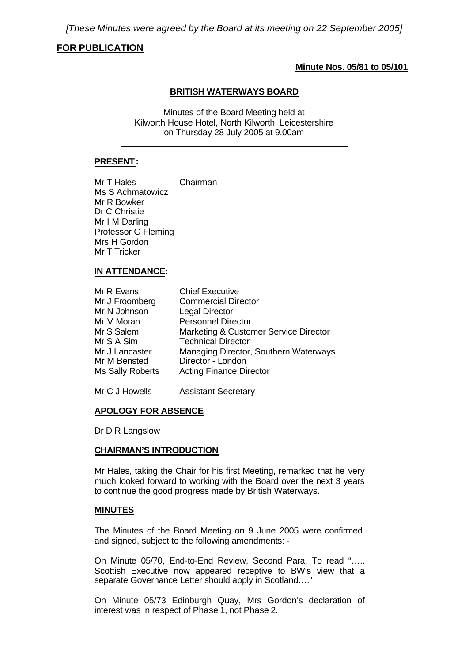# **FOR PUBLICATION**

#### **Minute Nos. 05/81 to 05/101**

## **BRITISH WATERWAYS BOARD**

Minutes of the Board Meeting held at Kilworth House Hotel, North Kilworth, Leicestershire on Thursday 28 July 2005 at 9.00am \_\_\_\_\_\_\_\_\_\_\_\_\_\_\_\_\_\_\_\_\_\_\_\_\_\_\_\_\_\_\_\_\_\_\_\_\_\_\_\_\_\_\_\_\_\_\_

## **PRESENT:**

Mr T Hales Chairman Ms S Achmatowicz Mr R Bowker Dr C Christie Mr I M Darling Professor G Fleming Mrs H Gordon Mr T Tricker

#### **IN ATTENDANCE:**

| Mr R Evans       | <b>Chief Executive</b>                |
|------------------|---------------------------------------|
| Mr J Froomberg   | <b>Commercial Director</b>            |
| Mr N Johnson     | <b>Legal Director</b>                 |
| Mr V Moran       | <b>Personnel Director</b>             |
| Mr S Salem       | Marketing & Customer Service Director |
| Mr S A Sim       | <b>Technical Director</b>             |
| Mr J Lancaster   | Managing Director, Southern Waterways |
| Mr M Bensted     | Director - London                     |
| Ms Sally Roberts | <b>Acting Finance Director</b>        |
|                  |                                       |

Mr C J Howells Assistant Secretary

# **APOLOGY FOR ABSENCE**

Dr D R Langslow

#### **CHAIRMAN'S INTRODUCTION**

Mr Hales, taking the Chair for his first Meeting, remarked that he very much looked forward to working with the Board over the next 3 years to continue the good progress made by British Waterways.

#### **MINUTES**

The Minutes of the Board Meeting on 9 June 2005 were confirmed and signed, subject to the following amendments: -

On Minute 05/70, End-to-End Review, Second Para. To read "….. Scottish Executive now appeared receptive to BW's view that a separate Governance Letter should apply in Scotland…."

On Minute 05/73 Edinburgh Quay, Mrs Gordon's declaration of interest was in respect of Phase 1, not Phase 2.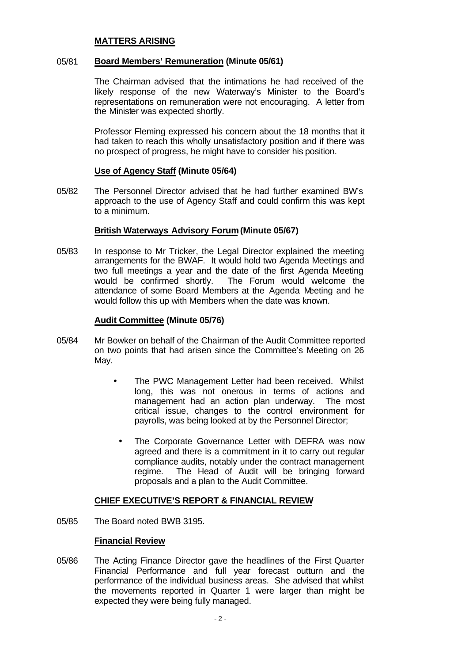### **MATTERS ARISING**

# 05/81 **Board Members' Remuneration (Minute 05/61)**

The Chairman advised that the intimations he had received of the likely response of the new Waterway's Minister to the Board's representations on remuneration were not encouraging. A letter from the Minister was expected shortly.

Professor Fleming expressed his concern about the 18 months that it had taken to reach this wholly unsatisfactory position and if there was no prospect of progress, he might have to consider his position.

#### **Use of Agency Staff (Minute 05/64)**

05/82 The Personnel Director advised that he had further examined BW's approach to the use of Agency Staff and could confirm this was kept to a minimum.

## **British Waterways Advisory Forum(Minute 05/67)**

05/83 In response to Mr Tricker, the Legal Director explained the meeting arrangements for the BWAF. It would hold two Agenda Meetings and two full meetings a year and the date of the first Agenda Meeting would be confirmed shortly. The Forum would welcome the attendance of some Board Members at the Agenda Meeting and he would follow this up with Members when the date was known.

#### **Audit Committee (Minute 05/76)**

- 05/84 Mr Bowker on behalf of the Chairman of the Audit Committee reported on two points that had arisen since the Committee's Meeting on 26 May.
	- The PWC Management Letter had been received. Whilst long, this was not onerous in terms of actions and management had an action plan underway. The most critical issue, changes to the control environment for payrolls, was being looked at by the Personnel Director;
		- The Corporate Governance Letter with DEFRA was now agreed and there is a commitment in it to carry out regular compliance audits, notably under the contract management regime. The Head of Audit will be bringing forward proposals and a plan to the Audit Committee.

#### **CHIEF EXECUTIVE'S REPORT & FINANCIAL REVIEW**

05/85 The Board noted BWB 3195.

### **Financial Review**

05/86 The Acting Finance Director gave the headlines of the First Quarter Financial Performance and full year forecast outturn and the performance of the individual business areas. She advised that whilst the movements reported in Quarter 1 were larger than might be expected they were being fully managed.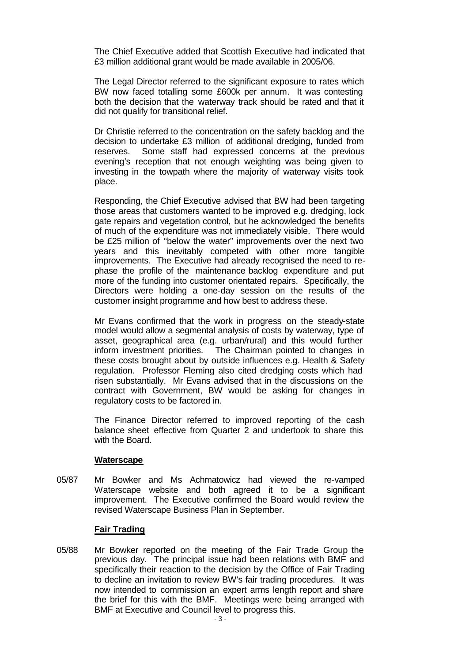The Chief Executive added that Scottish Executive had indicated that £3 million additional grant would be made available in 2005/06.

The Legal Director referred to the significant exposure to rates which BW now faced totalling some £600k per annum. It was contesting both the decision that the waterway track should be rated and that it did not qualify for transitional relief.

Dr Christie referred to the concentration on the safety backlog and the decision to undertake £3 million of additional dredging, funded from reserves. Some staff had expressed concerns at the previous evening's reception that not enough weighting was being given to investing in the towpath where the majority of waterway visits took place.

Responding, the Chief Executive advised that BW had been targeting those areas that customers wanted to be improved e.g. dredging, lock gate repairs and vegetation control, but he acknowledged the benefits of much of the expenditure was not immediately visible. There would be £25 million of "below the water" improvements over the next two years and this inevitably competed with other more tangible improvements. The Executive had already recognised the need to rephase the profile of the maintenance backlog expenditure and put more of the funding into customer orientated repairs. Specifically, the Directors were holding a one-day session on the results of the customer insight programme and how best to address these.

Mr Evans confirmed that the work in progress on the steady-state model would allow a segmental analysis of costs by waterway, type of asset, geographical area (e.g. urban/rural) and this would further inform investment priorities. The Chairman pointed to changes in these costs brought about by outside influences e.g. Health & Safety regulation. Professor Fleming also cited dredging costs which had risen substantially. Mr Evans advised that in the discussions on the contract with Government, BW would be asking for changes in regulatory costs to be factored in.

The Finance Director referred to improved reporting of the cash balance sheet effective from Quarter 2 and undertook to share this with the Board.

#### **Waterscape**

05/87 Mr Bowker and Ms Achmatowicz had viewed the re-vamped Waterscape website and both agreed it to be a significant improvement. The Executive confirmed the Board would review the revised Waterscape Business Plan in September.

#### **Fair Trading**

05/88 Mr Bowker reported on the meeting of the Fair Trade Group the previous day. The principal issue had been relations with BMF and specifically their reaction to the decision by the Office of Fair Trading to decline an invitation to review BW's fair trading procedures. It was now intended to commission an expert arms length report and share the brief for this with the BMF. Meetings were being arranged with BMF at Executive and Council level to progress this.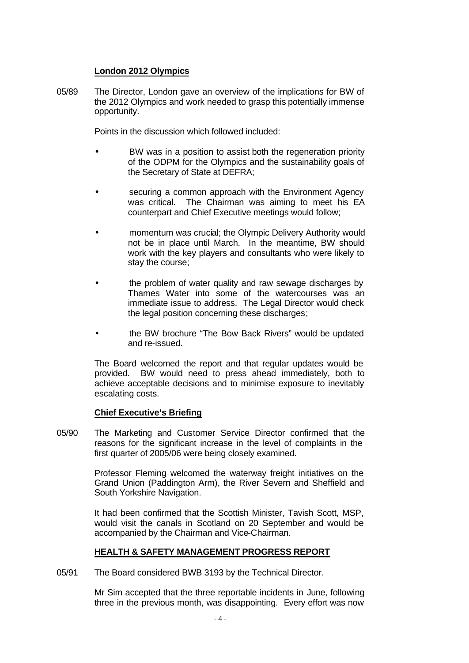# **London 2012 Olympics**

05/89 The Director, London gave an overview of the implications for BW of the 2012 Olympics and work needed to grasp this potentially immense opportunity.

Points in the discussion which followed included:

- BW was in a position to assist both the regeneration priority of the ODPM for the Olympics and the sustainability goals of the Secretary of State at DEFRA;
- securing a common approach with the Environment Agency was critical. The Chairman was aiming to meet his EA counterpart and Chief Executive meetings would follow;
- momentum was crucial; the Olympic Delivery Authority would not be in place until March. In the meantime, BW should work with the key players and consultants who were likely to stay the course;
- the problem of water quality and raw sewage discharges by Thames Water into some of the watercourses was an immediate issue to address. The Legal Director would check the legal position concerning these discharges;
- the BW brochure "The Bow Back Rivers" would be updated and re-issued.

The Board welcomed the report and that regular updates would be provided. BW would need to press ahead immediately, both to achieve acceptable decisions and to minimise exposure to inevitably escalating costs.

# **Chief Executive's Briefing**

05/90 The Marketing and Customer Service Director confirmed that the reasons for the significant increase in the level of complaints in the first quarter of 2005/06 were being closely examined.

> Professor Fleming welcomed the waterway freight initiatives on the Grand Union (Paddington Arm), the River Severn and Sheffield and South Yorkshire Navigation.

> It had been confirmed that the Scottish Minister, Tavish Scott, MSP, would visit the canals in Scotland on 20 September and would be accompanied by the Chairman and Vice-Chairman.

# **HEALTH & SAFETY MANAGEMENT PROGRESS REPORT**

05/91 The Board considered BWB 3193 by the Technical Director.

Mr Sim accepted that the three reportable incidents in June, following three in the previous month, was disappointing. Every effort was now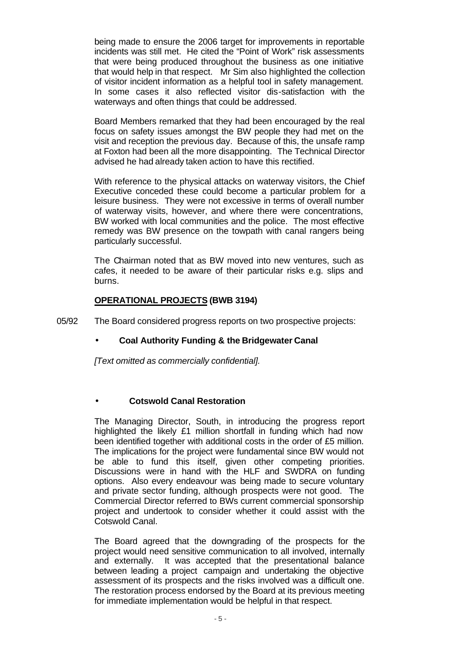being made to ensure the 2006 target for improvements in reportable incidents was still met. He cited the "Point of Work" risk assessments that were being produced throughout the business as one initiative that would help in that respect. Mr Sim also highlighted the collection of visitor incident information as a helpful tool in safety management. In some cases it also reflected visitor dis-satisfaction with the waterways and often things that could be addressed.

Board Members remarked that they had been encouraged by the real focus on safety issues amongst the BW people they had met on the visit and reception the previous day. Because of this, the unsafe ramp at Foxton had been all the more disappointing. The Technical Director advised he had already taken action to have this rectified.

With reference to the physical attacks on waterway visitors, the Chief Executive conceded these could become a particular problem for a leisure business. They were not excessive in terms of overall number of waterway visits, however, and where there were concentrations, BW worked with local communities and the police. The most effective remedy was BW presence on the towpath with canal rangers being particularly successful.

The Chairman noted that as BW moved into new ventures, such as cafes, it needed to be aware of their particular risks e.g. slips and burns.

# **OPERATIONAL PROJECTS (BWB 3194)**

05/92 The Board considered progress reports on two prospective projects:

# • **Coal Authority Funding & the Bridgewater Canal**

*[Text omitted as commercially confidential].*

# • **Cotswold Canal Restoration**

The Managing Director, South, in introducing the progress report highlighted the likely £1 million shortfall in funding which had now been identified together with additional costs in the order of £5 million. The implications for the project were fundamental since BW would not be able to fund this itself, given other competing priorities. Discussions were in hand with the HLF and SWDRA on funding options. Also every endeavour was being made to secure voluntary and private sector funding, although prospects were not good. The Commercial Director referred to BWs current commercial sponsorship project and undertook to consider whether it could assist with the Cotswold Canal.

The Board agreed that the downgrading of the prospects for the project would need sensitive communication to all involved, internally and externally. It was accepted that the presentational balance between leading a project campaign and undertaking the objective assessment of its prospects and the risks involved was a difficult one. The restoration process endorsed by the Board at its previous meeting for immediate implementation would be helpful in that respect.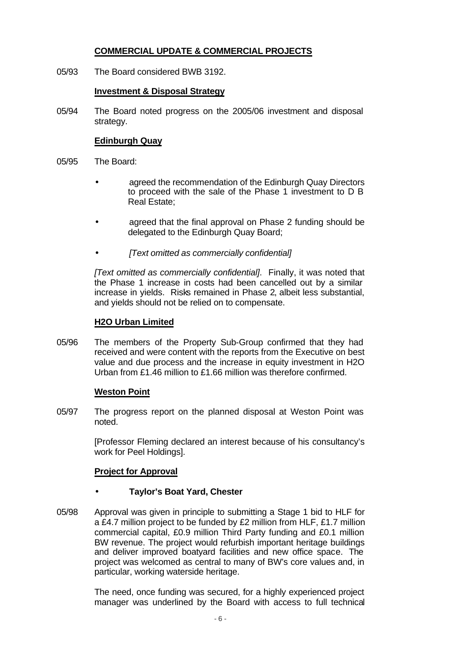# **COMMERCIAL UPDATE & COMMERCIAL PROJECTS**

05/93 The Board considered BWB 3192.

# **Investment & Disposal Strategy**

05/94 The Board noted progress on the 2005/06 investment and disposal strategy.

# **Edinburgh Quay**

- 05/95 The Board:
	- agreed the recommendation of the Edinburgh Quay Directors to proceed with the sale of the Phase 1 investment to D B Real Estate;
	- agreed that the final approval on Phase 2 funding should be delegated to the Edinburgh Quay Board;
	- *[Text omitted as commercially confidential]*

*[Text omitted as commercially confidential]*. Finally, it was noted that the Phase 1 increase in costs had been cancelled out by a similar increase in yields. Risks remained in Phase 2, albeit less substantial, and yields should not be relied on to compensate.

# **H2O Urban Limited**

05/96 The members of the Property Sub-Group confirmed that they had received and were content with the reports from the Executive on best value and due process and the increase in equity investment in H2O Urban from £1.46 million to £1.66 million was therefore confirmed.

# **Weston Point**

05/97 The progress report on the planned disposal at Weston Point was noted.

> [Professor Fleming declared an interest because of his consultancy's work for Peel Holdings].

# **Project for Approval**

# • **Taylor's Boat Yard, Chester**

05/98 Approval was given in principle to submitting a Stage 1 bid to HLF for a £4.7 million project to be funded by £2 million from HLF, £1.7 million commercial capital, £0.9 million Third Party funding and £0.1 million BW revenue. The project would refurbish important heritage buildings and deliver improved boatyard facilities and new office space. The project was welcomed as central to many of BW's core values and, in particular, working waterside heritage.

> The need, once funding was secured, for a highly experienced project manager was underlined by the Board with access to full technical